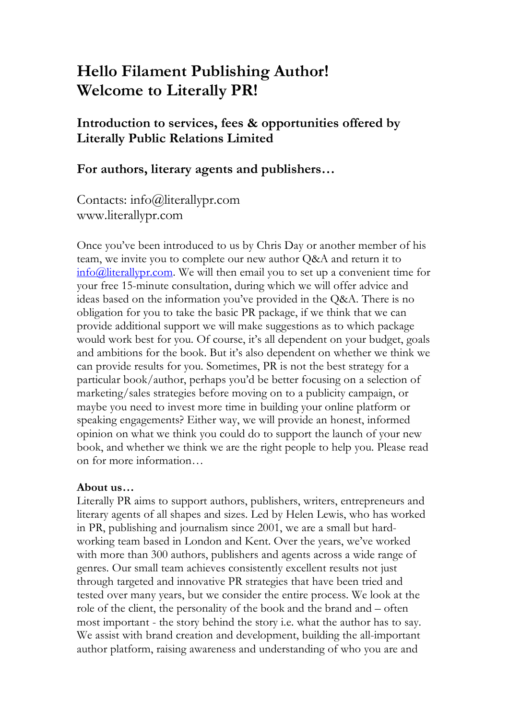# **Hello Filament Publishing Author! Welcome to Literally PR!**

**Introduction to services, fees & opportunities offered by Literally Public Relations Limited**

**For authors, literary agents and publishers…**

Contacts: info@literallypr.com www.literallypr.com

Once you've been introduced to us by Chris Day or another member of his team, we invite you to complete our new author Q&A and return it to info@literallypr.com. We will then email you to set up a convenient time for your free 15-minute consultation, during which we will offer advice and ideas based on the information you've provided in the Q&A. There is no obligation for you to take the basic PR package, if we think that we can provide additional support we will make suggestions as to which package would work best for you. Of course, it's all dependent on your budget, goals and ambitions for the book. But it's also dependent on whether we think we can provide results for you. Sometimes, PR is not the best strategy for a particular book/author, perhaps you'd be better focusing on a selection of marketing/sales strategies before moving on to a publicity campaign, or maybe you need to invest more time in building your online platform or speaking engagements? Either way, we will provide an honest, informed opinion on what we think you could do to support the launch of your new book, and whether we think we are the right people to help you. Please read on for more information…

#### **About us…**

Literally PR aims to support authors, publishers, writers, entrepreneurs and literary agents of all shapes and sizes. Led by Helen Lewis, who has worked in PR, publishing and journalism since 2001, we are a small but hardworking team based in London and Kent. Over the years, we've worked with more than 300 authors, publishers and agents across a wide range of genres. Our small team achieves consistently excellent results not just through targeted and innovative PR strategies that have been tried and tested over many years, but we consider the entire process. We look at the role of the client, the personality of the book and the brand and – often most important - the story behind the story i.e. what the author has to say. We assist with brand creation and development, building the all-important author platform, raising awareness and understanding of who you are and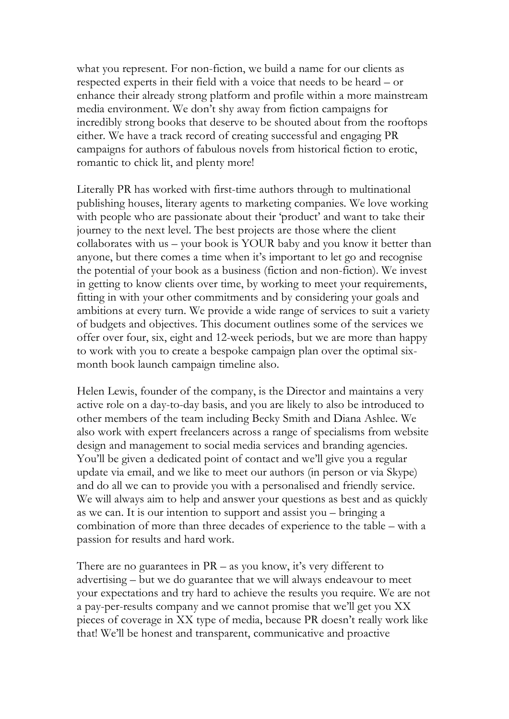what you represent. For non-fiction, we build a name for our clients as respected experts in their field with a voice that needs to be heard – or enhance their already strong platform and profile within a more mainstream media environment. We don't shy away from fiction campaigns for incredibly strong books that deserve to be shouted about from the rooftops either. We have a track record of creating successful and engaging PR campaigns for authors of fabulous novels from historical fiction to erotic, romantic to chick lit, and plenty more!

Literally PR has worked with first-time authors through to multinational publishing houses, literary agents to marketing companies. We love working with people who are passionate about their 'product' and want to take their journey to the next level. The best projects are those where the client collaborates with us – your book is YOUR baby and you know it better than anyone, but there comes a time when it's important to let go and recognise the potential of your book as a business (fiction and non-fiction). We invest in getting to know clients over time, by working to meet your requirements, fitting in with your other commitments and by considering your goals and ambitions at every turn. We provide a wide range of services to suit a variety of budgets and objectives. This document outlines some of the services we offer over four, six, eight and 12-week periods, but we are more than happy to work with you to create a bespoke campaign plan over the optimal sixmonth book launch campaign timeline also.

Helen Lewis, founder of the company, is the Director and maintains a very active role on a day-to-day basis, and you are likely to also be introduced to other members of the team including Becky Smith and Diana Ashlee. We also work with expert freelancers across a range of specialisms from website design and management to social media services and branding agencies. You'll be given a dedicated point of contact and we'll give you a regular update via email, and we like to meet our authors (in person or via Skype) and do all we can to provide you with a personalised and friendly service. We will always aim to help and answer your questions as best and as quickly as we can. It is our intention to support and assist you – bringing a combination of more than three decades of experience to the table – with a passion for results and hard work.

There are no guarantees in  $PR - as$  you know, it's very different to advertising – but we do guarantee that we will always endeavour to meet your expectations and try hard to achieve the results you require. We are not a pay-per-results company and we cannot promise that we'll get you XX pieces of coverage in XX type of media, because PR doesn't really work like that! We'll be honest and transparent, communicative and proactive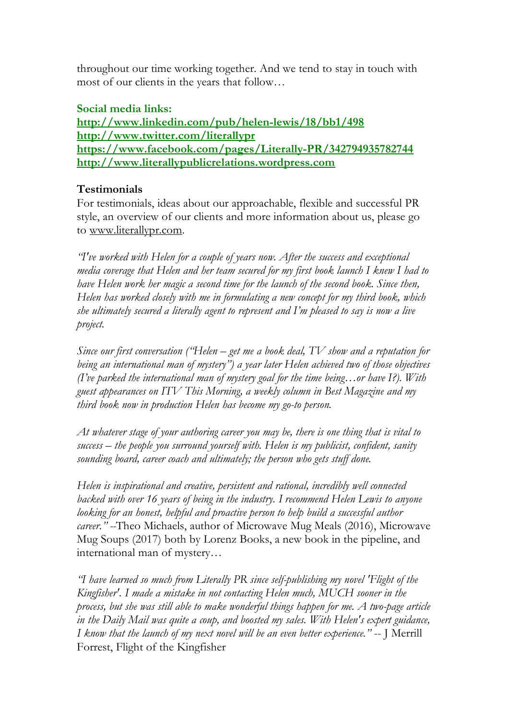throughout our time working together. And we tend to stay in touch with most of our clients in the years that follow…

### **Social media links:**

**http://www.linkedin.com/pub/helen-lewis/18/bb1/498 http://www.twitter.com/literallypr https://www.facebook.com/pages/Literally-PR/342794935782744 http://www.literallypublicrelations.wordpress.com**

### **Testimonials**

For testimonials, ideas about our approachable, flexible and successful PR style, an overview of our clients and more information about us, please go to www.literallypr.com.

*"I've worked with Helen for a couple of years now. After the success and exceptional media coverage that Helen and her team secured for my first book launch I knew I had to have Helen work her magic a second time for the launch of the second book. Since then, Helen has worked closely with me in formulating a new concept for my third book, which she ultimately secured a literally agent to represent and I'm pleased to say is now a live project.*

*Since our first conversation ("Helen – get me a book deal, TV show and a reputation for being an international man of mystery") a year later Helen achieved two of those objectives (I've parked the international man of mystery goal for the time being…or have I?). With guest appearances on ITV This Morning, a weekly column in Best Magazine and my third book now in production Helen has become my go-to person.*

*At whatever stage of your authoring career you may be, there is one thing that is vital to success – the people you surround yourself with. Helen is my publicist, confident, sanity sounding board, career coach and ultimately; the person who gets stuff done.*

*Helen is inspirational and creative, persistent and rational, incredibly well connected backed with over 16 years of being in the industry. I recommend Helen Lewis to anyone looking for an honest, helpful and proactive person to help build a successful author career." --*Theo Michaels, author of Microwave Mug Meals (2016), Microwave Mug Soups (2017) both by Lorenz Books, a new book in the pipeline, and international man of mystery…

*"I have learned so much from Literally PR since self-publishing my novel 'Flight of the Kingfisher'. I made a mistake in not contacting Helen much, MUCH sooner in the process, but she was still able to make wonderful things happen for me. A two-page article in the Daily Mail was quite a coup, and boosted my sales. With Helen's expert guidance, I know that the launch of my next novel will be an even better experience."* -- J Merrill Forrest, Flight of the Kingfisher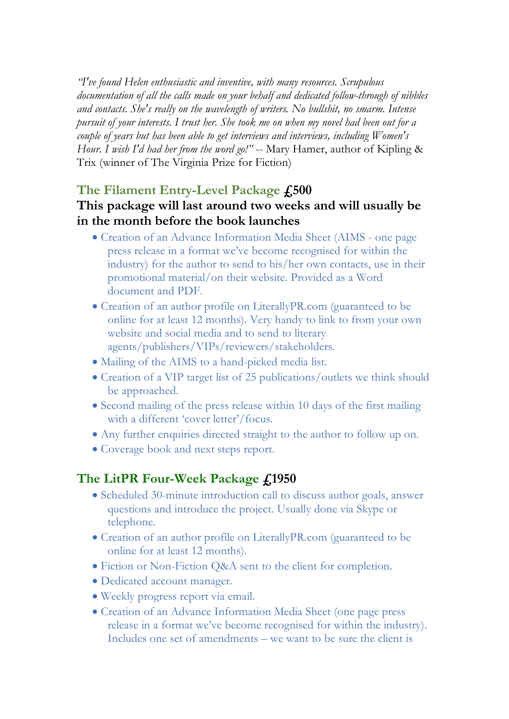*"I've found Helen enthusiastic and inventive, with many resources. Scrupulous documentation of all the calls made on your behalf and dedicated follow-through of nibbles and contacts. She's really on the wavelength of writers. No bullshit, no smarm. Intense pursuit of your interests. I trust her. She took me on when my novel had been out for a couple of years but has been able to get interviews and interviews, including Women's Hour. I wish I'd had her from the word go!"* -- Mary Hamer, author of Kipling & Trix (winner of The Virginia Prize for Fiction)

# **The Filament Entry-Level Package £500**

# **This package will last around two weeks and will usually be in the month before the book launches**

- Creation of an Advance Information Media Sheet (AIMS one page press release in a format we've become recognised for within the industry) for the author to send to his/her own contacts, use in their promotional material/on their website. Provided as a Word document and PDF.
- Creation of an author profile on LiterallyPR.com (guaranteed to be online for at least 12 months). Very handy to link to from your own website and social media and to send to literary agents/publishers/VIPs/reviewers/stakeholders.
- Mailing of the AIMS to a hand-picked media list.
- Creation of a VIP target list of 25 publications/outlets we think should be approached.
- Second mailing of the press release within 10 days of the first mailing with a different 'cover letter'/focus.
- Any further enquiries directed straight to the author to follow up on.
- Coverage book and next steps report.

# **The LitPR Four-Week Package £1950**

- Scheduled 30-minute introduction call to discuss author goals, answer questions and introduce the project. Usually done via Skype or telephone.
- Creation of an author profile on LiterallyPR.com (guaranteed to be online for at least 12 months).
- Fiction or Non-Fiction Q&A sent to the client for completion.
- Dedicated account manager.
- Weekly progress report via email.
- Creation of an Advance Information Media Sheet (one page press release in a format we've become recognised for within the industry). Includes one set of amendments – we want to be sure the client is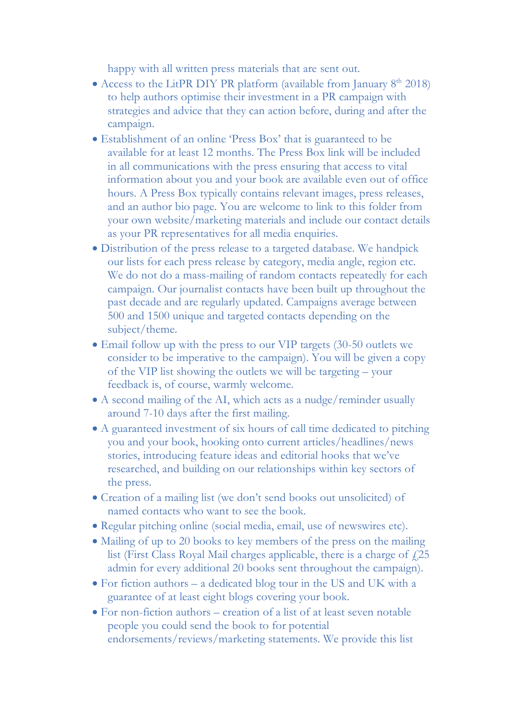happy with all written press materials that are sent out.

- Access to the LitPR DIY PR platform (available from January  $8<sup>th</sup>$  2018) to help authors optimise their investment in a PR campaign with strategies and advice that they can action before, during and after the campaign.
- Establishment of an online 'Press Box' that is guaranteed to be available for at least 12 months. The Press Box link will be included in all communications with the press ensuring that access to vital information about you and your book are available even out of office hours. A Press Box typically contains relevant images, press releases, and an author bio page. You are welcome to link to this folder from your own website/marketing materials and include our contact details as your PR representatives for all media enquiries.
- Distribution of the press release to a targeted database. We handpick our lists for each press release by category, media angle, region etc. We do not do a mass-mailing of random contacts repeatedly for each campaign. Our journalist contacts have been built up throughout the past decade and are regularly updated. Campaigns average between 500 and 1500 unique and targeted contacts depending on the subject/theme.
- Email follow up with the press to our VIP targets (30-50 outlets we consider to be imperative to the campaign). You will be given a copy of the VIP list showing the outlets we will be targeting – your feedback is, of course, warmly welcome.
- A second mailing of the AI, which acts as a nudge/reminder usually around 7-10 days after the first mailing.
- A guaranteed investment of six hours of call time dedicated to pitching you and your book, hooking onto current articles/headlines/news stories, introducing feature ideas and editorial hooks that we've researched, and building on our relationships within key sectors of the press.
- Creation of a mailing list (we don't send books out unsolicited) of named contacts who want to see the book.
- Regular pitching online (social media, email, use of newswires etc).
- Mailing of up to 20 books to key members of the press on the mailing list (First Class Royal Mail charges applicable, there is a charge of  $f$ .) admin for every additional 20 books sent throughout the campaign).
- For fiction authors a dedicated blog tour in the US and UK with a guarantee of at least eight blogs covering your book.
- For non-fiction authors creation of a list of at least seven notable people you could send the book to for potential endorsements/reviews/marketing statements. We provide this list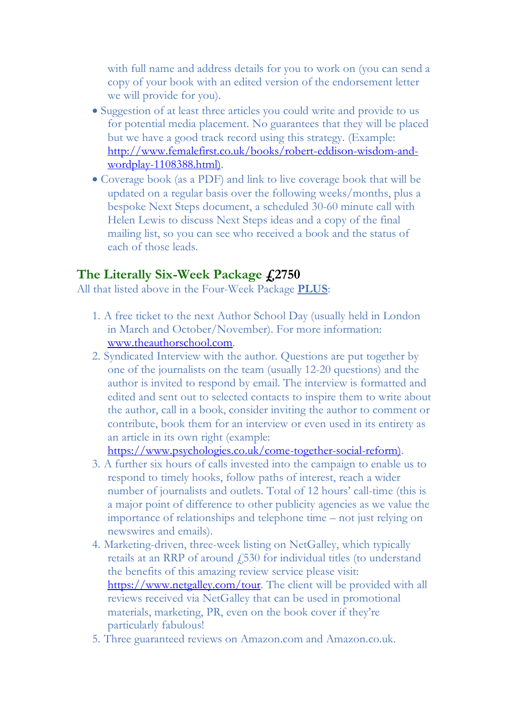with full name and address details for you to work on (you can send a copy of your book with an edited version of the endorsement letter we will provide for you).

- Suggestion of at least three articles you could write and provide to us for potential media placement. No guarantees that they will be placed but we have a good track record using this strategy. (Example: http://www.femalefirst.co.uk/books/robert-eddison-wisdom-andwordplay-1108388.html).
- Coverage book (as a PDF) and link to live coverage book that will be updated on a regular basis over the following weeks/months, plus a bespoke Next Steps document, a scheduled 30-60 minute call with Helen Lewis to discuss Next Steps ideas and a copy of the final mailing list, so you can see who received a book and the status of each of those leads.

# **The Literally Six-Week Package £2750**

All that listed above in the Four-Week Package **PLUS**:

- 1. A free ticket to the next Author School Day (usually held in London in March and October/November). For more information: www.theauthorschool.com.
- 2. Syndicated Interview with the author. Questions are put together by one of the journalists on the team (usually 12-20 questions) and the author is invited to respond by email. The interview is formatted and edited and sent out to selected contacts to inspire them to write about the author, call in a book, consider inviting the author to comment or contribute, book them for an interview or even used in its entirety as an article in its own right (example:

https://www.psychologies.co.uk/come-together-social-reform).

- 3. A further six hours of calls invested into the campaign to enable us to respond to timely hooks, follow paths of interest, reach a wider number of journalists and outlets. Total of 12 hours' call-time (this is a major point of difference to other publicity agencies as we value the importance of relationships and telephone time – not just relying on newswires and emails).
- 4. Marketing-driven, three-week listing on NetGalley, which typically retails at an RRP of around £530 for individual titles (to understand the benefits of this amazing review service please visit: https://www.netgalley.com/tour. The client will be provided with all reviews received via NetGalley that can be used in promotional materials, marketing, PR, even on the book cover if they're particularly fabulous!
- 5. Three guaranteed reviews on Amazon.com and Amazon.co.uk.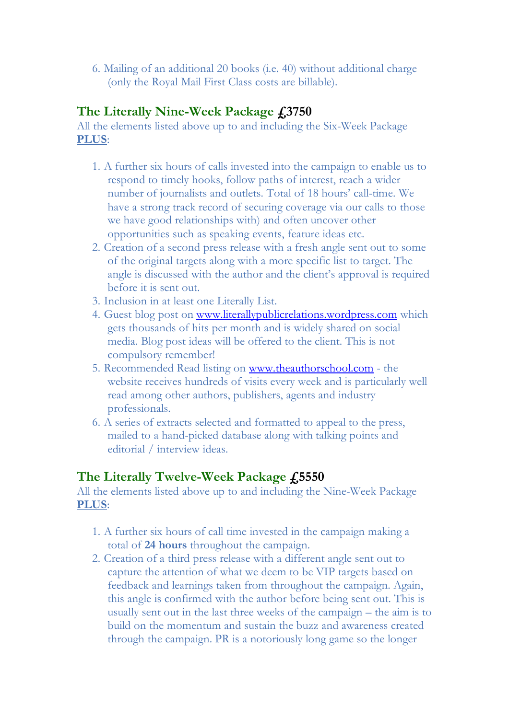6. Mailing of an additional 20 books (i.e. 40) without additional charge (only the Royal Mail First Class costs are billable).

# **The Literally Nine-Week Package £3750**

All the elements listed above up to and including the Six-Week Package **PLUS**:

- 1. A further six hours of calls invested into the campaign to enable us to respond to timely hooks, follow paths of interest, reach a wider number of journalists and outlets. Total of 18 hours' call-time. We have a strong track record of securing coverage via our calls to those we have good relationships with) and often uncover other opportunities such as speaking events, feature ideas etc.
- 2. Creation of a second press release with a fresh angle sent out to some of the original targets along with a more specific list to target. The angle is discussed with the author and the client's approval is required before it is sent out.
- 3. Inclusion in at least one Literally List.
- 4. Guest blog post on www.literallypublicrelations.wordpress.com which gets thousands of hits per month and is widely shared on social media. Blog post ideas will be offered to the client. This is not compulsory remember!
- 5. Recommended Read listing on www.theauthorschool.com the website receives hundreds of visits every week and is particularly well read among other authors, publishers, agents and industry professionals.
- 6. A series of extracts selected and formatted to appeal to the press, mailed to a hand-picked database along with talking points and editorial / interview ideas.

# **The Literally Twelve-Week Package £5550**

All the elements listed above up to and including the Nine-Week Package **PLUS**:

- 1. A further six hours of call time invested in the campaign making a total of **24 hours** throughout the campaign.
- 2. Creation of a third press release with a different angle sent out to capture the attention of what we deem to be VIP targets based on feedback and learnings taken from throughout the campaign. Again, this angle is confirmed with the author before being sent out. This is usually sent out in the last three weeks of the campaign – the aim is to build on the momentum and sustain the buzz and awareness created through the campaign. PR is a notoriously long game so the longer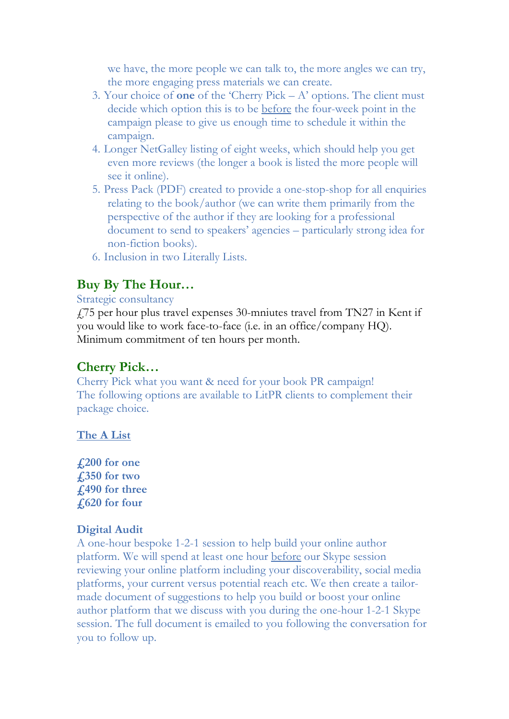we have, the more people we can talk to, the more angles we can try, the more engaging press materials we can create.

- 3. Your choice of **one** of the 'Cherry Pick A' options. The client must decide which option this is to be before the four-week point in the campaign please to give us enough time to schedule it within the campaign.
- 4. Longer NetGalley listing of eight weeks, which should help you get even more reviews (the longer a book is listed the more people will see it online).
- 5. Press Pack (PDF) created to provide a one-stop-shop for all enquiries relating to the book/author (we can write them primarily from the perspective of the author if they are looking for a professional document to send to speakers' agencies – particularly strong idea for non-fiction books).
- 6. Inclusion in two Literally Lists.

# **Buy By The Hour…**

#### Strategic consultancy

£75 per hour plus travel expenses 30-mniutes travel from TN27 in Kent if you would like to work face-to-face (i.e. in an office/company HQ). Minimum commitment of ten hours per month.

# **Cherry Pick…**

Cherry Pick what you want & need for your book PR campaign! The following options are available to LitPR clients to complement their package choice.

### **The A List**

**£200 for one £350 for two £490 for three £620 for four**

### **Digital Audit**

A one-hour bespoke 1-2-1 session to help build your online author platform. We will spend at least one hour before our Skype session reviewing your online platform including your discoverability, social media platforms, your current versus potential reach etc. We then create a tailormade document of suggestions to help you build or boost your online author platform that we discuss with you during the one-hour 1-2-1 Skype session. The full document is emailed to you following the conversation for you to follow up.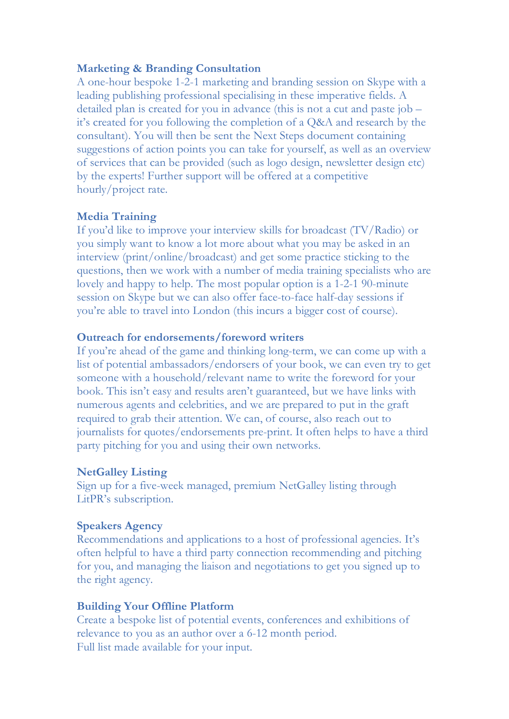#### **Marketing & Branding Consultation**

A one-hour bespoke 1-2-1 marketing and branding session on Skype with a leading publishing professional specialising in these imperative fields. A detailed plan is created for you in advance (this is not a cut and paste job – it's created for you following the completion of a Q&A and research by the consultant). You will then be sent the Next Steps document containing suggestions of action points you can take for yourself, as well as an overview of services that can be provided (such as logo design, newsletter design etc) by the experts! Further support will be offered at a competitive hourly/project rate.

#### **Media Training**

If you'd like to improve your interview skills for broadcast (TV/Radio) or you simply want to know a lot more about what you may be asked in an interview (print/online/broadcast) and get some practice sticking to the questions, then we work with a number of media training specialists who are lovely and happy to help. The most popular option is a 1-2-1 90-minute session on Skype but we can also offer face-to-face half-day sessions if you're able to travel into London (this incurs a bigger cost of course).

#### **Outreach for endorsements/foreword writers**

If you're ahead of the game and thinking long-term, we can come up with a list of potential ambassadors/endorsers of your book, we can even try to get someone with a household/relevant name to write the foreword for your book. This isn't easy and results aren't guaranteed, but we have links with numerous agents and celebrities, and we are prepared to put in the graft required to grab their attention. We can, of course, also reach out to journalists for quotes/endorsements pre-print. It often helps to have a third party pitching for you and using their own networks.

#### **NetGalley Listing**

Sign up for a five-week managed, premium NetGalley listing through LitPR's subscription.

#### **Speakers Agency**

Recommendations and applications to a host of professional agencies. It's often helpful to have a third party connection recommending and pitching for you, and managing the liaison and negotiations to get you signed up to the right agency.

#### **Building Your Offline Platform**

Create a bespoke list of potential events, conferences and exhibitions of relevance to you as an author over a 6-12 month period. Full list made available for your input.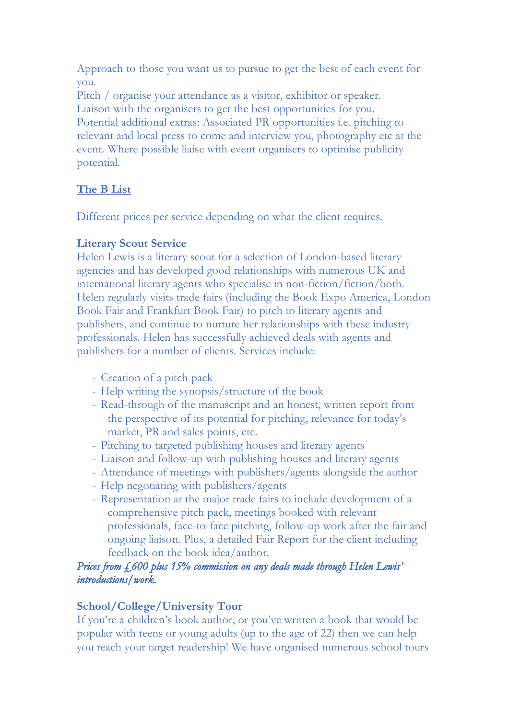Approach to those you want us to pursue to get the best of each event for you.

Pitch / organise your attendance as a visitor, exhibitor or speaker. Liaison with the organisers to get the best opportunities for you. Potential additional extras: Associated PR opportunities i.e. pitching to relevant and local press to come and interview you, photography etc at the event. Where possible liaise with event organisers to optimise publicity potential.

### **The B List**

Different prices per service depending on what the client requires.

### **Literary Scout Service**

Helen Lewis is a literary scout for a selection of London-based literary agencies and has developed good relationships with numerous UK and international literary agents who specialise in non-fiction/fiction/both. Helen regularly visits trade fairs (including the Book Expo America, London Book Fair and Frankfurt Book Fair) to pitch to literary agents and publishers, and continue to nurture her relationships with these industry professionals. Helen has successfully achieved deals with agents and publishers for a number of clients. Services include:

- Creation of a pitch pack
- Help writing the synopsis/structure of the book
- Read-through of the manuscript and an honest, written report from the perspective of its potential for pitching, relevance for today's market, PR and sales points, etc.
- Pitching to targeted publishing houses and literary agents
- Liaison and follow-up with publishing houses and literary agents
- Attendance of meetings with publishers/agents alongside the author
- Help negotiating with publishers/agents
- Representation at the major trade fairs to include development of a comprehensive pitch pack, meetings booked with relevant professionals, face-to-face pitching, follow-up work after the fair and ongoing liaison. Plus, a detailed Fair Report for the client including feedback on the book idea/author.

### *Prices from £600 plus 15% commission on any deals made through Helen Lewis' introductions/work.*

### **School/College/University Tour**

If you're a children's book author, or you've written a book that would be popular with teens or young adults (up to the age of 22) then we can help you reach your target readership! We have organised numerous school tours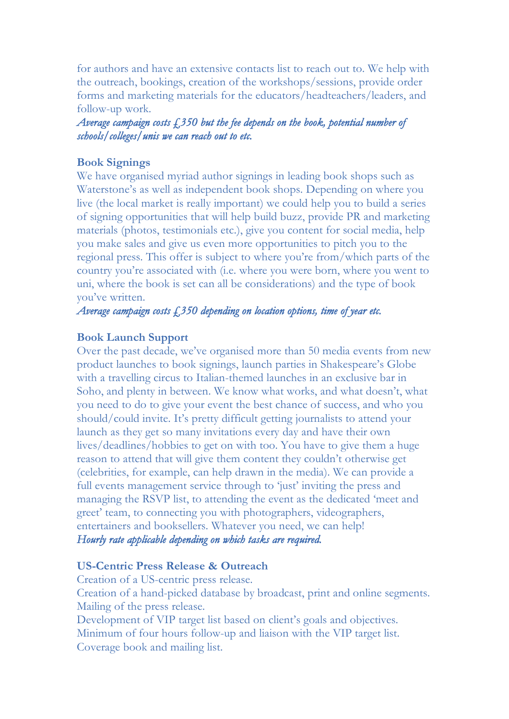for authors and have an extensive contacts list to reach out to. We help with the outreach, bookings, creation of the workshops/sessions, provide order forms and marketing materials for the educators/headteachers/leaders, and follow-up work.

*Average campaign costs £350 but the fee depends on the book, potential number of schools/colleges/unis we can reach out to etc.* 

#### **Book Signings**

We have organised myriad author signings in leading book shops such as Waterstone's as well as independent book shops. Depending on where you live (the local market is really important) we could help you to build a series of signing opportunities that will help build buzz, provide PR and marketing materials (photos, testimonials etc.), give you content for social media, help you make sales and give us even more opportunities to pitch you to the regional press. This offer is subject to where you're from/which parts of the country you're associated with (i.e. where you were born, where you went to uni, where the book is set can all be considerations) and the type of book you've written.

*Average campaign costs £350 depending on location options, time of year etc.* 

#### **Book Launch Support**

Over the past decade, we've organised more than 50 media events from new product launches to book signings, launch parties in Shakespeare's Globe with a travelling circus to Italian-themed launches in an exclusive bar in Soho, and plenty in between. We know what works, and what doesn't, what you need to do to give your event the best chance of success, and who you should/could invite. It's pretty difficult getting journalists to attend your launch as they get so many invitations every day and have their own lives/deadlines/hobbies to get on with too. You have to give them a huge reason to attend that will give them content they couldn't otherwise get (celebrities, for example, can help drawn in the media). We can provide a full events management service through to 'just' inviting the press and managing the RSVP list, to attending the event as the dedicated 'meet and greet' team, to connecting you with photographers, videographers, entertainers and booksellers. Whatever you need, we can help! *Hourly rate applicable depending on which tasks are required.* 

#### **US-Centric Press Release & Outreach**

Creation of a US-centric press release.

Creation of a hand-picked database by broadcast, print and online segments. Mailing of the press release.

Development of VIP target list based on client's goals and objectives. Minimum of four hours follow-up and liaison with the VIP target list. Coverage book and mailing list.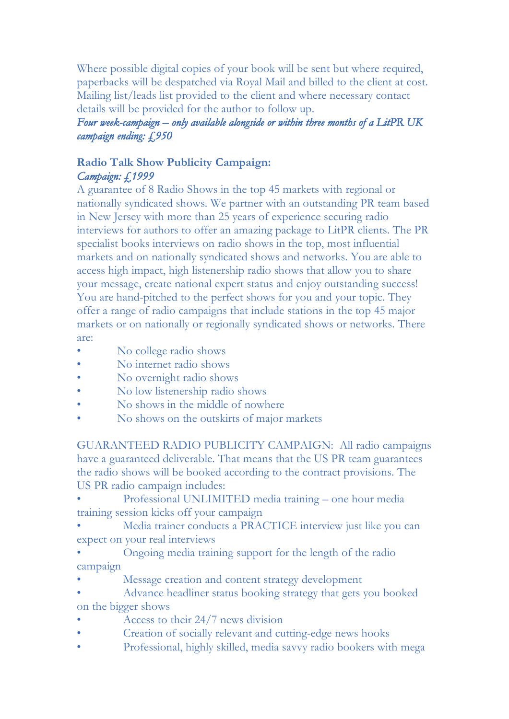Where possible digital copies of your book will be sent but where required, paperbacks will be despatched via Royal Mail and billed to the client at cost. Mailing list/leads list provided to the client and where necessary contact details will be provided for the author to follow up.

## *Four week-campaign – only available alongside or within three months of a LitPR UK campaign ending: £950*

# **Radio Talk Show Publicity Campaign:** *Campaign: £1999*

A guarantee of 8 Radio Shows in the top 45 markets with regional or nationally syndicated shows. We partner with an outstanding PR team based in New Jersey with more than 25 years of experience securing radio interviews for authors to offer an amazing package to LitPR clients. The PR specialist books interviews on radio shows in the top, most influential markets and on nationally syndicated shows and networks. You are able to access high impact, high listenership radio shows that allow you to share your message, create national expert status and enjoy outstanding success! You are hand-pitched to the perfect shows for you and your topic. They offer a range of radio campaigns that include stations in the top 45 major markets or on nationally or regionally syndicated shows or networks. There are:

- No college radio shows
- No internet radio shows
- No overnight radio shows
- No low listenership radio shows
- No shows in the middle of nowhere
- No shows on the outskirts of major markets

GUARANTEED RADIO PUBLICITY CAMPAIGN: All radio campaigns have a guaranteed deliverable. That means that the US PR team guarantees the radio shows will be booked according to the contract provisions. The US PR radio campaign includes:

- Professional UNLIMITED media training one hour media training session kicks off your campaign
- Media trainer conducts a PRACTICE interview just like you can expect on your real interviews
- Ongoing media training support for the length of the radio campaign
- Message creation and content strategy development
- Advance headliner status booking strategy that gets you booked on the bigger shows
- Access to their 24/7 news division
- Creation of socially relevant and cutting-edge news hooks
- Professional, highly skilled, media savvy radio bookers with mega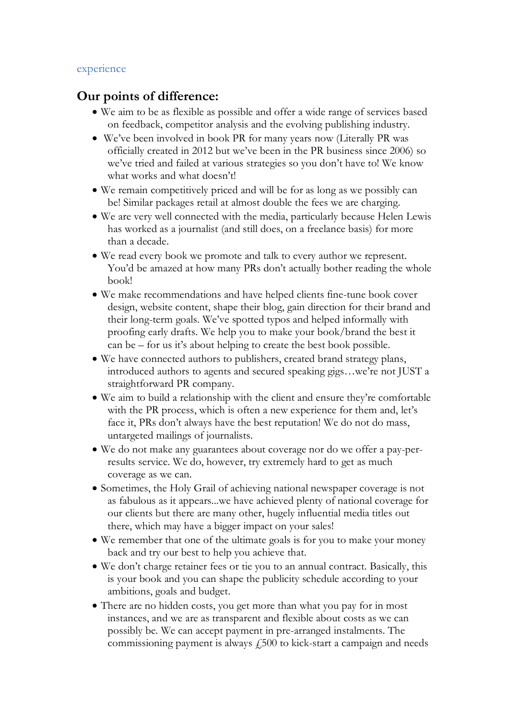#### experience

### **Our points of difference:**

- We aim to be as flexible as possible and offer a wide range of services based on feedback, competitor analysis and the evolving publishing industry.
- We've been involved in book PR for many years now (Literally PR was officially created in 2012 but we've been in the PR business since 2006) so we've tried and failed at various strategies so you don't have to! We know what works and what doesn't!
- We remain competitively priced and will be for as long as we possibly can be! Similar packages retail at almost double the fees we are charging.
- We are very well connected with the media, particularly because Helen Lewis has worked as a journalist (and still does, on a freelance basis) for more than a decade.
- We read every book we promote and talk to every author we represent. You'd be amazed at how many PRs don't actually bother reading the whole book!
- We make recommendations and have helped clients fine-tune book cover design, website content, shape their blog, gain direction for their brand and their long-term goals. We've spotted typos and helped informally with proofing early drafts. We help you to make your book/brand the best it can be – for us it's about helping to create the best book possible.
- We have connected authors to publishers, created brand strategy plans, introduced authors to agents and secured speaking gigs…we're not JUST a straightforward PR company.
- We aim to build a relationship with the client and ensure they're comfortable with the PR process, which is often a new experience for them and, let's face it, PRs don't always have the best reputation! We do not do mass, untargeted mailings of journalists.
- We do not make any guarantees about coverage nor do we offer a pay-perresults service. We do, however, try extremely hard to get as much coverage as we can.
- Sometimes, the Holy Grail of achieving national newspaper coverage is not as fabulous as it appears...we have achieved plenty of national coverage for our clients but there are many other, hugely influential media titles out there, which may have a bigger impact on your sales!
- We remember that one of the ultimate goals is for you to make your money back and try our best to help you achieve that.
- We don't charge retainer fees or tie you to an annual contract. Basically, this is your book and you can shape the publicity schedule according to your ambitions, goals and budget.
- There are no hidden costs, you get more than what you pay for in most instances, and we are as transparent and flexible about costs as we can possibly be. We can accept payment in pre-arranged instalments. The commissioning payment is always  $f_{1500}$  to kick-start a campaign and needs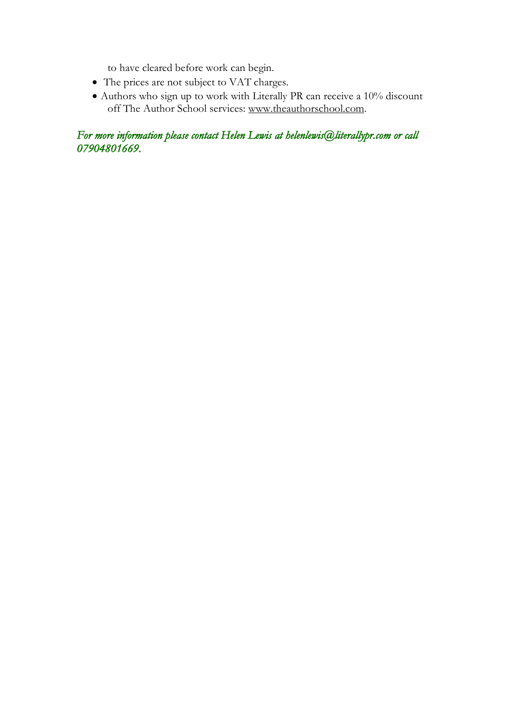to have cleared before work can begin.

- The prices are not subject to VAT charges.
- Authors who sign up to work with Literally PR can receive a 10% discount off The Author School services: www.theauthorschool.com.

*For more information please contact Helen Lewis at helenlewis@literallypr.com or call 07904801669.*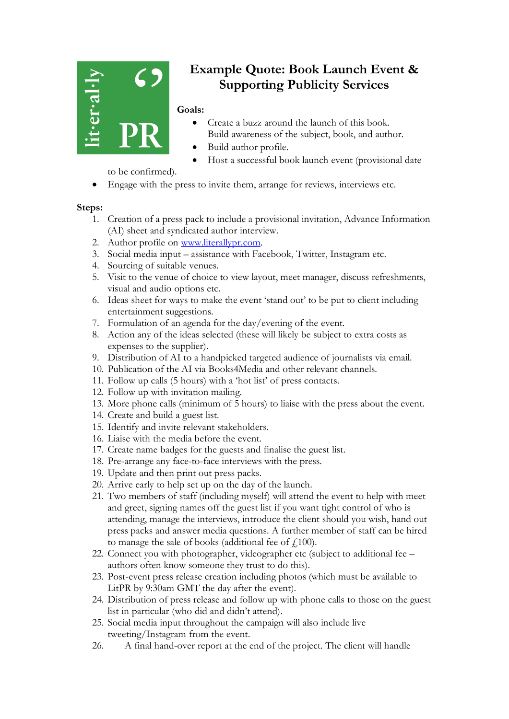

# **Example Quote: Book Launch Event & Supporting Publicity Services**

#### **Goals:**

- Create a buzz around the launch of this book. Build awareness of the subject, book, and author.
- Build author profile.
- Host a successful book launch event (provisional date

to be confirmed).

• Engage with the press to invite them, arrange for reviews, interviews etc.

#### **Steps:**

- 1. Creation of a press pack to include a provisional invitation, Advance Information (AI) sheet and syndicated author interview.
- 2. Author profile on www.literallypr.com.
- 3. Social media input assistance with Facebook, Twitter, Instagram etc.
- 4. Sourcing of suitable venues.
- 5. Visit to the venue of choice to view layout, meet manager, discuss refreshments, visual and audio options etc.
- 6. Ideas sheet for ways to make the event 'stand out' to be put to client including entertainment suggestions.
- 7. Formulation of an agenda for the day/evening of the event.
- 8. Action any of the ideas selected (these will likely be subject to extra costs as expenses to the supplier).
- 9. Distribution of AI to a handpicked targeted audience of journalists via email.
- 10. Publication of the AI via Books4Media and other relevant channels.
- 11. Follow up calls (5 hours) with a 'hot list' of press contacts.
- 12. Follow up with invitation mailing.
- 13. More phone calls (minimum of 5 hours) to liaise with the press about the event.
- 14. Create and build a guest list.
- 15. Identify and invite relevant stakeholders.
- 16. Liaise with the media before the event.
- 17. Create name badges for the guests and finalise the guest list.
- 18. Pre-arrange any face-to-face interviews with the press.
- 19. Update and then print out press packs.
- 20. Arrive early to help set up on the day of the launch.
- 21. Two members of staff (including myself) will attend the event to help with meet and greet, signing names off the guest list if you want tight control of who is attending, manage the interviews, introduce the client should you wish, hand out press packs and answer media questions. A further member of staff can be hired to manage the sale of books (additional fee of  $\text{\textsterling}100$ ).
- 22. Connect you with photographer, videographer etc (subject to additional fee authors often know someone they trust to do this).
- 23. Post-event press release creation including photos (which must be available to LitPR by 9:30am GMT the day after the event).
- 24. Distribution of press release and follow up with phone calls to those on the guest list in particular (who did and didn't attend).
- 25. Social media input throughout the campaign will also include live tweeting/Instagram from the event.
- 26. A final hand-over report at the end of the project. The client will handle